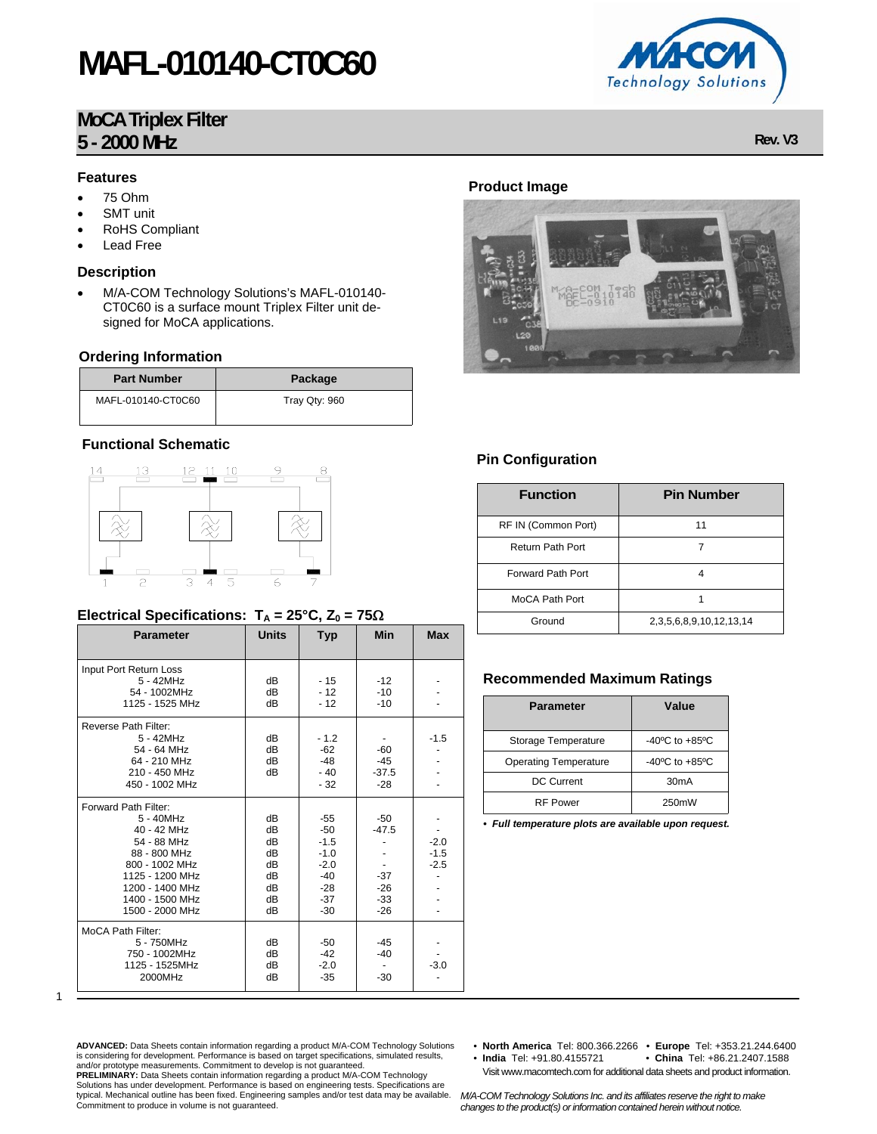# **MAFL-010140-CT0C60**

## **MoCA Triplex Filter 5 - 2000 MHz Rev. V3**

#### **Features**

- 75 Ohm
- **SMT** unit
- RoHS Compliant
- Lead Free

### **Description**

• M/A-COM Technology Solutions's MAFL-010140- CT0C60 is a surface mount Triplex Filter unit designed for MoCA applications.

#### **Ordering Information**

| <b>Part Number</b> | Package       |
|--------------------|---------------|
| MAFL-010140-CT0C60 | Tray Qty: 960 |

### **Functional Schematic**



### **Electrical Specifications:**  $T_A = 25^\circ \text{C}$ ,  $Z_0 = 75\Omega$

| <b>Parameter</b>                                                                                                                                                              | <b>Units</b>                                       | Typ                                                                              | <b>Min</b>                                           | <b>Max</b>                 |
|-------------------------------------------------------------------------------------------------------------------------------------------------------------------------------|----------------------------------------------------|----------------------------------------------------------------------------------|------------------------------------------------------|----------------------------|
| Input Port Return Loss<br>$5 - 42$ MHz<br>54 - 1002MHz<br>1125 - 1525 MHz                                                                                                     | dВ<br>dB<br>dB                                     | $-15$<br>$-12$<br>$-12$                                                          | $-12$<br>$-10$<br>$-10$                              |                            |
| Reverse Path Filter:<br>5 - 42MHz<br>54 - 64 MHz<br>64 - 210 MHz<br>210 - 450 MHz<br>450 - 1002 MHz                                                                           | dB<br>dB<br>dB<br>dB                               | $-1.2$<br>$-62$<br>$-48$<br>$-40$<br>$-32$                                       | -60<br>$-45$<br>$-37.5$<br>$-28$                     | $-1.5$                     |
| Forward Path Filter:<br>5 - 40MHz<br>40 - 42 MHz<br>54 - 88 MHz<br>88 - 800 MHz<br>800 - 1002 MHz<br>1125 - 1200 MHz<br>1200 - 1400 MHz<br>1400 - 1500 MHz<br>1500 - 2000 MHz | dB<br>dB<br>dB<br>dB<br>dB<br>dB<br>dB<br>dB<br>dB | $-55$<br>$-50$<br>$-1.5$<br>$-1.0$<br>$-2.0$<br>$-40$<br>$-28$<br>$-37$<br>$-30$ | $-50$<br>$-47.5$<br>$-37$<br>$-26$<br>$-33$<br>$-26$ | $-2.0$<br>$-1.5$<br>$-2.5$ |
| <b>MoCA Path Filter:</b><br>5 - 750MHz<br>750 - 1002MHz<br>1125 - 1525MHz<br>2000MHz                                                                                          | dB<br>dB<br>dB<br>dB                               | -50<br>$-42$<br>$-2.0$<br>$-35$                                                  | -45<br>$-40$<br>$-30$                                | $-3.0$                     |

### **Product Image**



### **Pin Configuration**

| <b>Function</b>          | <b>Pin Number</b>       |
|--------------------------|-------------------------|
| RF IN (Common Port)      | 11                      |
| <b>Return Path Port</b>  | 7                       |
| <b>Forward Path Port</b> | 4                       |
| MoCA Path Port           |                         |
| Ground                   | 2,3,5,6,8,9,10,12,13,14 |

### **Recommended Maximum Ratings**

| <b>Parameter</b>             | Value                              |  |  |
|------------------------------|------------------------------------|--|--|
| Storage Temperature          | $-40^{\circ}$ C to $+85^{\circ}$ C |  |  |
| <b>Operating Temperature</b> | $-40^{\circ}$ C to $+85^{\circ}$ C |  |  |
| <b>DC Current</b>            | 30 <sub>m</sub> A                  |  |  |
| <b>RF Power</b>              | 250mW                              |  |  |

*• Full temperature plots are available upon request.*

ADVANCED: Data Sheets contain information regarding a product M/A-COM Technology Solutions<br>is considering for development. Performance is based on target specifications, simulated results,<br>and/or prototype measurements. Co

- **North America** Tel: 800.366.2266 **Europe** Tel: +353.21.244.6400
- China Tel: +86.21.2407.1588 Visit www.macomtech.com for additional data sheets and product information.

*M/A-COM Technology Solutions Inc. and its affiliates reserve the right to make changes to the product(s) or information contained herein without notice.* 



<sup>1</sup>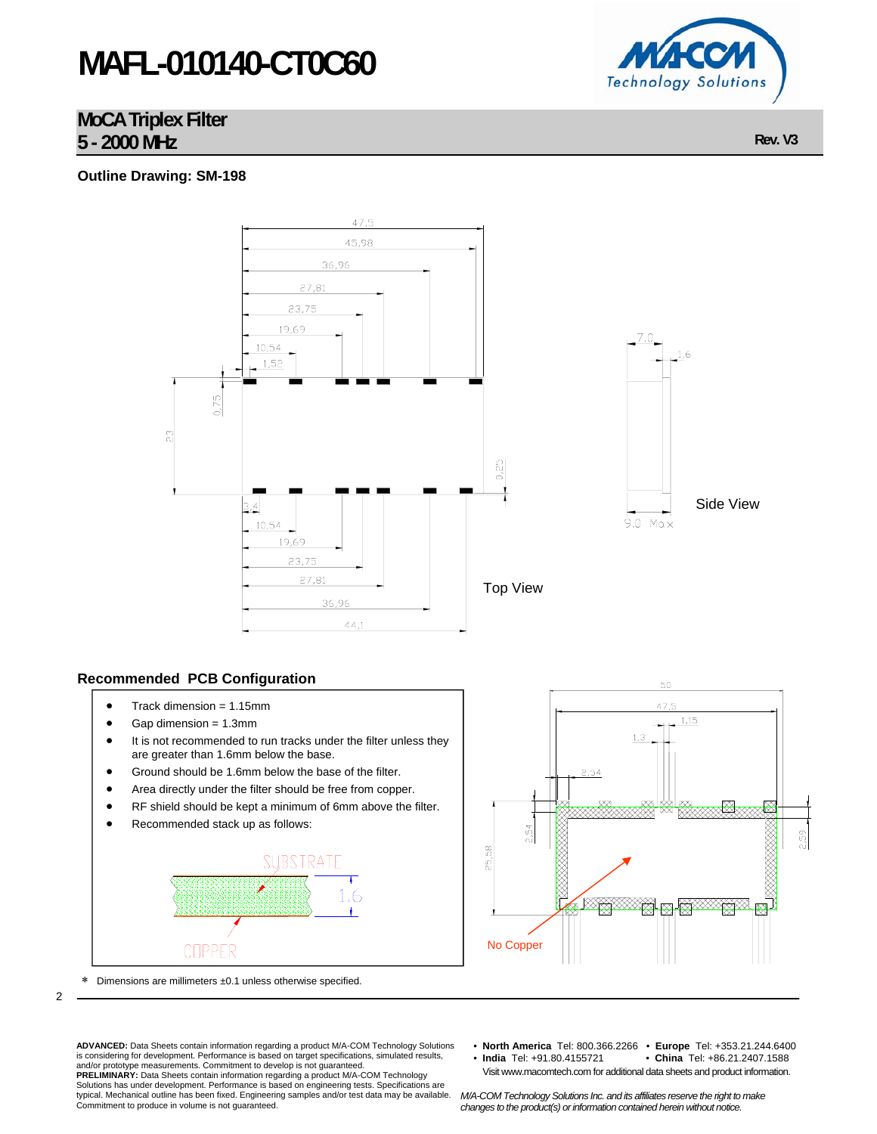# **MAFL-010140-CT0C60**

### **MoCA Triplex Filter 5 - 2000 MHz Rev. V3**

### **Outline Drawing: SM-198**



### **Recommended PCB Configuration**

- Track dimension  $= 1.15$ mm
- Gap dimension = 1.3mm
- It is not recommended to run tracks under the filter unless they are greater than 1.6mm below the base.
- Ground should be 1.6mm below the base of the filter.
- Area directly under the filter should be free from copper.
- RF shield should be kept a minimum of 6mm above the filter.
- Recommended stack up as follows:







2

**ADVANCED:** Data Sheets contain information regarding a product M/A-COM Technology Solutions<br>is considering for development. Performance is based on target specifications, simulated results,<br>and/or prototype measurements.

- **North America** Tel: 800.366.2266 **Europe** Tel: +353.21.244.6400 • China Tel: +86.21.2407.1588
- Visit www.macomtech.com for additional data sheets and product information.

Solutions has under development. Performance is based on engineering tests. Specifications are typical. Mechanical outline has been fixed. Engineering samples and/or test data may be available. Commitment to produce in volume is not guaranteed.

*M/A-COM Technology Solutions Inc. and its affiliates reserve the right to make changes to the product(s) or information contained herein without notice.*